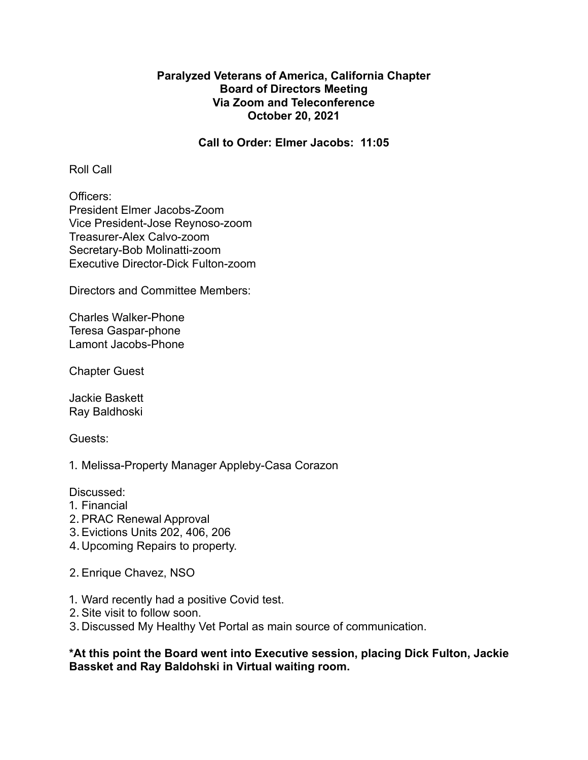## **Paralyzed Veterans of America, California Chapter Board of Directors Meeting Via Zoom and Teleconference October 20, 2021**

**Call to Order: Elmer Jacobs: 11:05**

Roll Call

Officers: President Elmer Jacobs-Zoom Vice President-Jose Reynoso-zoom Treasurer-Alex Calvo-zoom Secretary-Bob Molinatti-zoom Executive Director-Dick Fulton-zoom

Directors and Committee Members:

Charles Walker-Phone Teresa Gaspar-phone Lamont Jacobs-Phone

Chapter Guest

Jackie Baskett Ray Baldhoski

Guests:

1. Melissa-Property Manager Appleby-Casa Corazon

Discussed:

- 1. Financial
- 2. PRAC Renewal Approval
- 3.Evictions Units 202, 406, 206
- 4.Upcoming Repairs to property.
- 2. Enrique Chavez, NSO
- 1. Ward recently had a positive Covid test.
- 2. Site visit to follow soon.
- 3. Discussed My Healthy Vet Portal as main source of communication.

## **\*At this point the Board went into Executive session, placing Dick Fulton, Jackie Bassket and Ray Baldohski in Virtual waiting room.**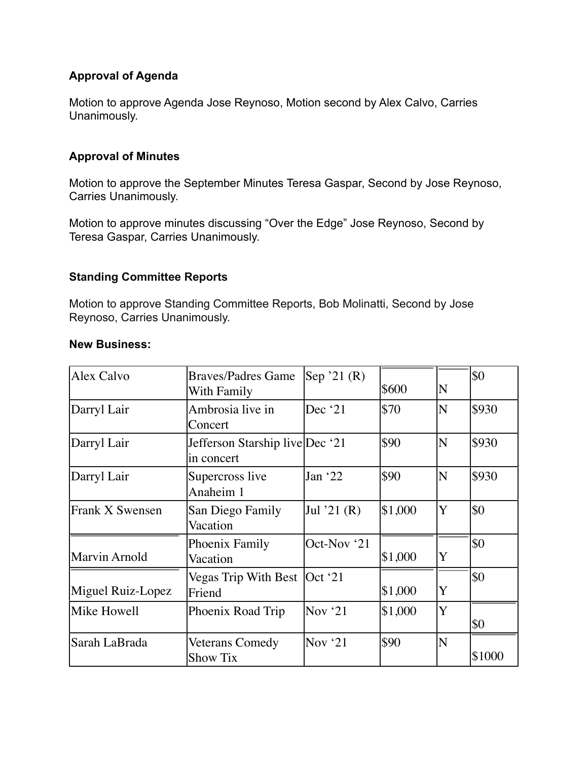# **Approval of Agenda**

Motion to approve Agenda Jose Reynoso, Motion second by Alex Calvo, Carries Unanimously.

# **Approval of Minutes**

Motion to approve the September Minutes Teresa Gaspar, Second by Jose Reynoso, Carries Unanimously.

Motion to approve minutes discussing "Over the Edge" Jose Reynoso, Second by Teresa Gaspar, Carries Unanimously.

## **Standing Committee Reports**

Motion to approve Standing Committee Reports, Bob Molinatti, Second by Jose Reynoso, Carries Unanimously.

#### **New Business:**

| Alex Calvo        | <b>Braves/Padres Game</b><br>With Family      | Sep '21 $(R)$ | \$600   | $\overline{\textsf{N}}$ | \$0    |
|-------------------|-----------------------------------------------|---------------|---------|-------------------------|--------|
| Darryl Lair       | Ambrosia live in<br>Concert                   | Dec $'21$     | \$70    | ΙN                      | \$930  |
| Darryl Lair       | Jefferson Starship live Dec '21<br>in concert |               | \$90    | N                       | \$930  |
| Darryl Lair       | Supercross live<br>Anaheim 1                  | Jan $22$      | \$90    | ΙN                      | \$930  |
| Frank X Swensen   | San Diego Family<br>Vacation                  | Jul '21 $(R)$ | \$1,000 | ΙY                      | \$0    |
| Marvin Arnold     | Phoenix Family<br>Vacation                    | Oct-Nov '21   | \$1,000 | Y                       | \$0    |
| Miguel Ruiz-Lopez | Vegas Trip With Best   Oct '21<br>Friend      |               | \$1,000 | Y                       | \$0    |
| Mike Howell       | Phoenix Road Trip                             | Nov $21$      | \$1,000 | Y                       | \$0    |
| Sarah LaBrada     | Veterans Comedy<br>Show Tix                   | Nov $21$      | \$90    | $ {\rm N}$              | \$1000 |